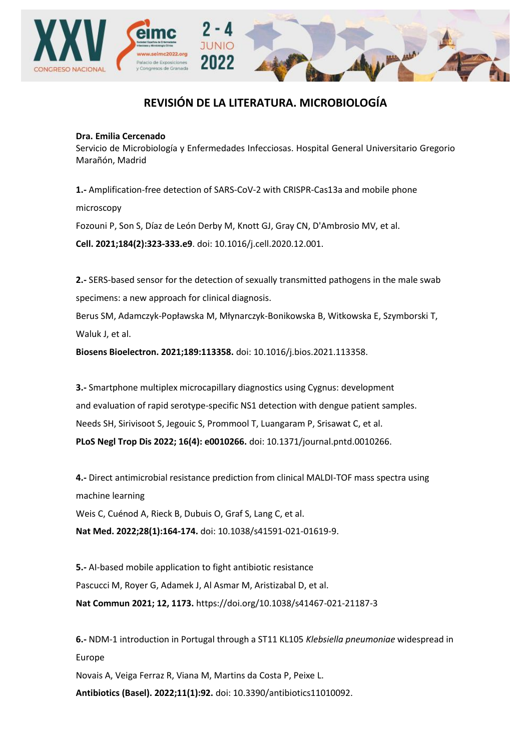

## **REVISIÓN DE LA LITERATURA. MICROBIOLOGÍA**

## **Dra. Emilia Cercenado**

Servicio de Microbiología y Enfermedades Infecciosas. Hospital General Universitario Gregorio Marañón, Madrid

**1.-** Amplification-free detection of SARS-CoV-2 with CRISPR-Cas13a and mobile phone microscopy

Fozouni P, Son S, Díaz de León Derby M, Knott GJ, Gray CN, D'Ambrosio MV, et al.

**Cell. 2021;184(2):323-333.e9**. doi: 10.1016/j.cell.2020.12.001.

**2.-** SERS-based sensor for the detection of sexually transmitted pathogens in the male swab specimens: a new approach for clinical diagnosis.

Berus SM, Adamczyk-Popławska M, Młynarczyk-Bonikowska B, Witkowska E, Szymborski T, Waluk J, et al.

**Biosens Bioelectron. 2021;189:113358.** doi: 10.1016/j.bios.2021.113358.

**3.-** Smartphone multiplex microcapillary diagnostics using Cygnus: development and evaluation of rapid serotype-specific NS1 detection with dengue patient samples. Needs SH, Sirivisoot S, Jegouic S, Prommool T, Luangaram P, Srisawat C, et al. **PLoS Negl Trop Dis 2022; 16(4): e0010266.** doi: 10.1371/journal.pntd.0010266.

**4.-** Direct antimicrobial resistance prediction from clinical MALDI-TOF mass spectra using machine learning

Weis C, Cuénod A, Rieck B, Dubuis O, Graf S, Lang C, et al.

**Nat Med. 2022;28(1):164-174.** doi: 10.1038/s41591-021-01619-9.

**5.-** AI-based mobile application to fight antibiotic resistance Pascucci M, Royer G, Adamek J, Al Asmar M, Aristizabal D, et al. **Nat Commun 2021; 12, 1173.** https://doi.org/10.1038/s41467-021-21187-3

**6.-** NDM-1 introduction in Portugal through a ST11 KL105 *Klebsiella pneumoniae* widespread in Europe Novais A, Veiga Ferraz R, Viana M, Martins da Costa P, Peixe L. **Antibiotics (Basel). 2022;11(1):92.** doi: 10.3390/antibiotics11010092.